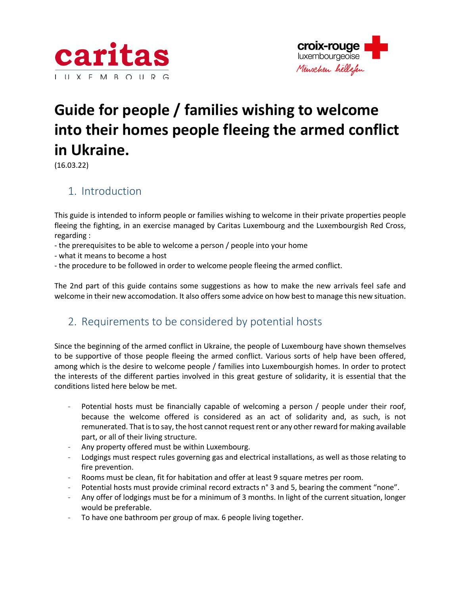



# **Guide for people / families wishing to welcome into their homes people fleeing the armed conflict in Ukraine.**

(16.03.22)

### 1. Introduction

This guide is intended to inform people or families wishing to welcome in their private properties people fleeing the fighting, in an exercise managed by Caritas Luxembourg and the Luxembourgish Red Cross, regarding :

- the prerequisites to be able to welcome a person / people into your home
- what it means to become a host
- the procedure to be followed in order to welcome people fleeing the armed conflict.

The 2nd part of this guide contains some suggestions as how to make the new arrivals feel safe and welcome in their new accomodation. It also offers some advice on how best to manage this new situation.

### 2. Requirements to be considered by potential hosts

Since the beginning of the armed conflict in Ukraine, the people of Luxembourg have shown themselves to be supportive of those people fleeing the armed conflict. Various sorts of help have been offered, among which is the desire to welcome people / families into Luxembourgish homes. In order to protect the interests of the different parties involved in this great gesture of solidarity, it is essential that the conditions listed here below be met.

- Potential hosts must be financially capable of welcoming a person / people under their roof, because the welcome offered is considered as an act of solidarity and, as such, is not remunerated. That is to say, the host cannot request rent or any other reward for making available part, or all of their living structure.
- Any property offered must be within Luxembourg.
- Lodgings must respect rules governing gas and electrical installations, as well as those relating to fire prevention.
- Rooms must be clean, fit for habitation and offer at least 9 square metres per room.
- Potential hosts must provide criminal record extracts n° 3 and 5, bearing the comment "none".
- Any offer of lodgings must be for a minimum of 3 months. In light of the current situation, longer would be preferable.
- To have one bathroom per group of max. 6 people living together.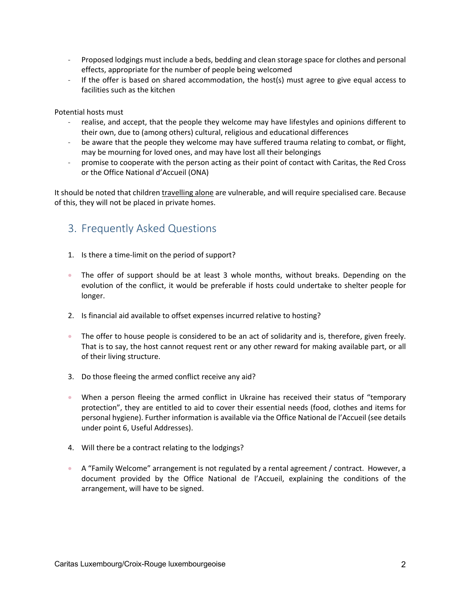- Proposed lodgings must include a beds, bedding and clean storage space for clothes and personal effects, appropriate for the number of people being welcomed
- If the offer is based on shared accommodation, the host(s) must agree to give equal access to facilities such as the kitchen

Potential hosts must

- realise, and accept, that the people they welcome may have lifestyles and opinions different to their own, due to (among others) cultural, religious and educational differences
- be aware that the people they welcome may have suffered trauma relating to combat, or flight, may be mourning for loved ones, and may have lost all their belongings
- promise to cooperate with the person acting as their point of contact with Caritas, the Red Cross or the Office National d'Accueil (ONA)

It should be noted that children travelling alone are vulnerable, and will require specialised care. Because of this, they will not be placed in private homes.

### 3. Frequently Asked Questions

- 1. Is there a time-limit on the period of support?
- The offer of support should be at least 3 whole months, without breaks. Depending on the evolution of the conflict, it would be preferable if hosts could undertake to shelter people for longer.
- 2. Is financial aid available to offset expenses incurred relative to hosting?
- The offer to house people is considered to be an act of solidarity and is, therefore, given freely. That is to say, the host cannot request rent or any other reward for making available part, or all of their living structure.
- 3. Do those fleeing the armed conflict receive any aid?
- When a person fleeing the armed conflict in Ukraine has received their status of "temporary protection", they are entitled to aid to cover their essential needs (food, clothes and items for personal hygiene). Further information is available via the Office National de l'Accueil (see details under point 6, Useful Addresses).
- 4. Will there be a contract relating to the lodgings?
- A "Family Welcome" arrangement is not regulated by a rental agreement / contract. However, a document provided by the Office National de l'Accueil, explaining the conditions of the arrangement, will have to be signed.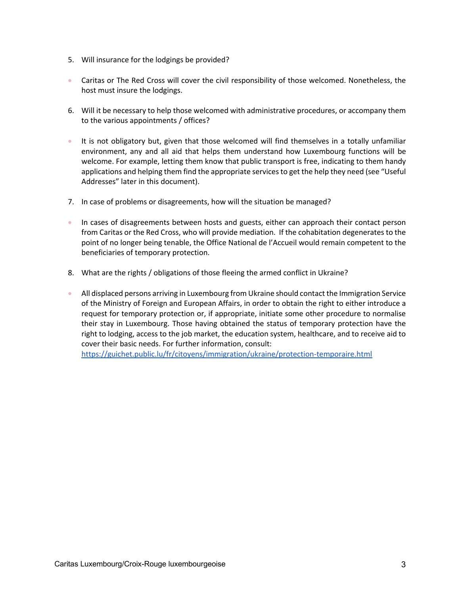- 5. Will insurance for the lodgings be provided?
- Caritas or The Red Cross will cover the civil responsibility of those welcomed. Nonetheless, the host must insure the lodgings.
- 6. Will it be necessary to help those welcomed with administrative procedures, or accompany them to the various appointments / offices?
- It is not obligatory but, given that those welcomed will find themselves in a totally unfamiliar environment, any and all aid that helps them understand how Luxembourg functions will be welcome. For example, letting them know that public transport is free, indicating to them handy applications and helping them find the appropriate services to get the help they need (see "Useful Addresses" later in this document).
- 7. In case of problems or disagreements, how will the situation be managed?
- In cases of disagreements between hosts and guests, either can approach their contact person from Caritas or the Red Cross, who will provide mediation. If the cohabitation degenerates to the point of no longer being tenable, the Office National de l'Accueil would remain competent to the beneficiaries of temporary protection.
- 8. What are the rights / obligations of those fleeing the armed conflict in Ukraine?
- All displaced persons arriving in Luxembourg from Ukraine should contact the Immigration Service of the Ministry of Foreign and European Affairs, in order to obtain the right to either introduce a request for temporary protection or, if appropriate, initiate some other procedure to normalise their stay in Luxembourg. Those having obtained the status of temporary protection have the right to lodging, access to the job market, the education system, healthcare, and to receive aid to cover their basic needs. For further information, consult:

https://guichet.public.lu/fr/citoyens/immigration/ukraine/protection-temporaire.html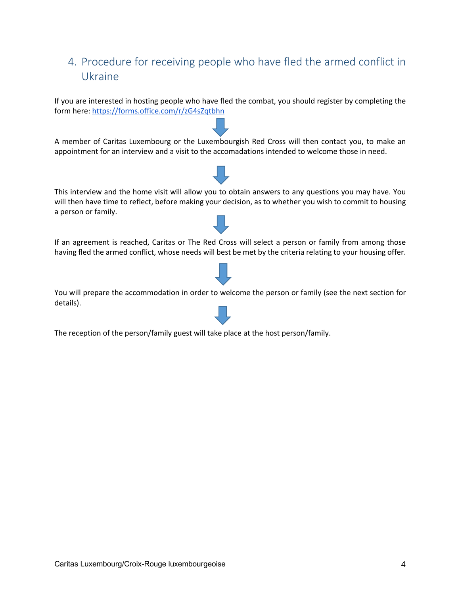## 4. Procedure for receiving people who have fled the armed conflict in Ukraine

If you are interested in hosting people who have fled the combat, you should register by completing the form here: https://forms.office.com/r/zG4sZqtbhn

A member of Caritas Luxembourg or the Luxembourgish Red Cross will then contact you, to make an appointment for an interview and a visit to the accomadations intended to welcome those in need.



If an agreement is reached, Caritas or The Red Cross will select a person or family from among those having fled the armed conflict, whose needs will best be met by the criteria relating to your housing offer.



The reception of the person/family guest will take place at the host person/family.









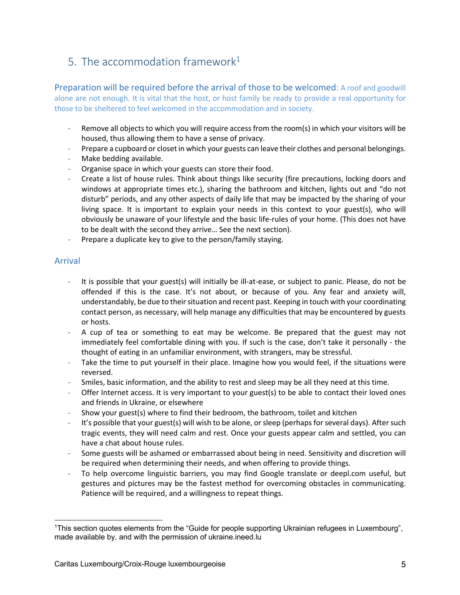# 5. The accommodation framework $1$

Preparation will be required before the arrival of those to be welcomed: A roof and goodwill alone are not enough. It is vital that the host, or host family be ready to provide a real opportunity for those to be sheltered to feel welcomed in the accommodation and in society.

- Remove all objects to which you will require access from the room(s) in which your visitors will be housed, thus allowing them to have a sense of privacy.
- Prepare a cupboard or closet in which your guests can leave their clothes and personal belongings.
- Make bedding available.
- Organise space in which your guests can store their food.
- Create a list of house rules. Think about things like security (fire precautions, locking doors and windows at appropriate times etc.), sharing the bathroom and kitchen, lights out and "do not disturb" periods, and any other aspects of daily life that may be impacted by the sharing of your living space. It is important to explain your needs in this context to your guest(s), who will obviously be unaware of your lifestyle and the basic life-rules of your home. (This does not have to be dealt with the second they arrive… See the next section).
- Prepare a duplicate key to give to the person/family staying.

### Arrival

- It is possible that your guest(s) will initially be ill-at-ease, or subject to panic. Please, do not be offended if this is the case. It's not about, or because of you. Any fear and anxiety will, understandably, be due to their situation and recent past. Keeping in touch with your coordinating contact person, as necessary, will help manage any difficulties that may be encountered by guests or hosts.
- A cup of tea or something to eat may be welcome. Be prepared that the guest may not immediately feel comfortable dining with you. If such is the case, don't take it personally - the thought of eating in an unfamiliar environment, with strangers, may be stressful.
- Take the time to put yourself in their place. Imagine how you would feel, if the situations were reversed.
- Smiles, basic information, and the ability to rest and sleep may be all they need at this time.
- Offer Internet access. It is very important to your guest(s) to be able to contact their loved ones and friends in Ukraine, or elsewhere
- Show your guest(s) where to find their bedroom, the bathroom, toilet and kitchen
- It's possible that your guest(s) will wish to be alone, or sleep (perhaps for several days). After such tragic events, they will need calm and rest. Once your guests appear calm and settled, you can have a chat about house rules.
- Some guests will be ashamed or embarrassed about being in need. Sensitivity and discretion will be required when determining their needs, and when offering to provide things.
- To help overcome linguistic barriers, you may find Google translate or deepl.com useful, but gestures and pictures may be the fastest method for overcoming obstacles in communicating. Patience will be required, and a willingness to repeat things.

<sup>1</sup>This section quotes elements from the "Guide for people supporting Ukrainian refugees in Luxembourg", made available by, and with the permission of ukraine.ineed.lu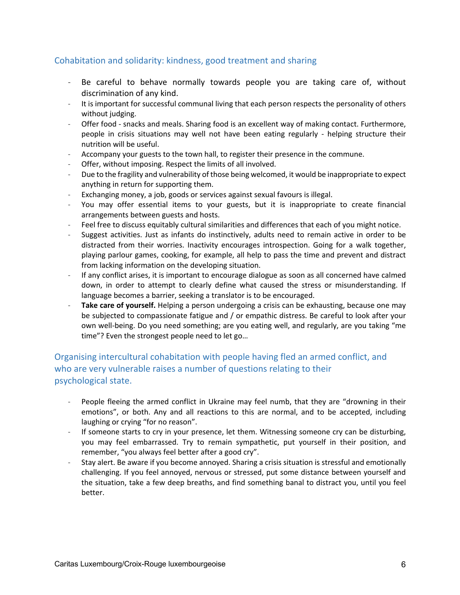### Cohabitation and solidarity: kindness, good treatment and sharing

- Be careful to behave normally towards people you are taking care of, without discrimination of any kind.
- It is important for successful communal living that each person respects the personality of others without judging.
- Offer food snacks and meals. Sharing food is an excellent way of making contact. Furthermore, people in crisis situations may well not have been eating regularly - helping structure their nutrition will be useful.
- Accompany your guests to the town hall, to register their presence in the commune.
- Offer, without imposing. Respect the limits of all involved.
- Due to the fragility and vulnerability of those being welcomed, it would be inappropriate to expect anything in return for supporting them.
- Exchanging money, a job, goods or services against sexual favours is illegal.
- You may offer essential items to your guests, but it is inappropriate to create financial arrangements between guests and hosts.
- Feel free to discuss equitably cultural similarities and differences that each of you might notice.
- Suggest activities. Just as infants do instinctively, adults need to remain active in order to be distracted from their worries. Inactivity encourages introspection. Going for a walk together, playing parlour games, cooking, for example, all help to pass the time and prevent and distract from lacking information on the developing situation.
- If any conflict arises, it is important to encourage dialogue as soon as all concerned have calmed down, in order to attempt to clearly define what caused the stress or misunderstanding. If language becomes a barrier, seeking a translator is to be encouraged.
- Take care of yourself. Helping a person undergoing a crisis can be exhausting, because one may be subjected to compassionate fatigue and / or empathic distress. Be careful to look after your own well-being. Do you need something; are you eating well, and regularly, are you taking "me time"? Even the strongest people need to let go…

### Organising intercultural cohabitation with people having fled an armed conflict, and who are very vulnerable raises a number of questions relating to their psychological state.

- People fleeing the armed conflict in Ukraine may feel numb, that they are "drowning in their emotions", or both. Any and all reactions to this are normal, and to be accepted, including laughing or crying "for no reason".
- If someone starts to cry in your presence, let them. Witnessing someone cry can be disturbing, you may feel embarrassed. Try to remain sympathetic, put yourself in their position, and remember, "you always feel better after a good cry".
- Stay alert. Be aware if you become annoyed. Sharing a crisis situation is stressful and emotionally challenging. If you feel annoyed, nervous or stressed, put some distance between yourself and the situation, take a few deep breaths, and find something banal to distract you, until you feel better.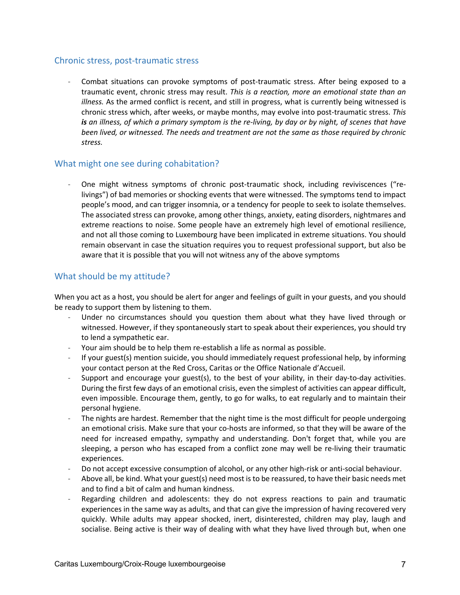### Chronic stress, post-traumatic stress

Combat situations can provoke symptoms of post-traumatic stress. After being exposed to a traumatic event, chronic stress may result. *This is a reaction, more an emotional state than an illness.* As the armed conflict is recent, and still in progress, what is currently being witnessed is chronic stress which, after weeks, or maybe months, may evolve into post-traumatic stress. *This is an illness, of which a primary symptom is the re-living, by day or by night, of scenes that have been lived, or witnessed. The needs and treatment are not the same as those required by chronic stress.*

### What might one see during cohabitation?

- One might witness symptoms of chronic post-traumatic shock, including reviviscences ("relivings") of bad memories or shocking events that were witnessed. The symptoms tend to impact people's mood, and can trigger insomnia, or a tendency for people to seek to isolate themselves. The associated stress can provoke, among other things, anxiety, eating disorders, nightmares and extreme reactions to noise. Some people have an extremely high level of emotional resilience, and not all those coming to Luxembourg have been implicated in extreme situations. You should remain observant in case the situation requires you to request professional support, but also be aware that it is possible that you will not witness any of the above symptoms

### What should be my attitude?

When you act as a host, you should be alert for anger and feelings of guilt in your guests, and you should be ready to support them by listening to them.

- Under no circumstances should you question them about what they have lived through or witnessed. However, if they spontaneously start to speak about their experiences, you should try to lend a sympathetic ear.
- Your aim should be to help them re-establish a life as normal as possible.
- If your guest(s) mention suicide, you should immediately request professional help, by informing your contact person at the Red Cross, Caritas or the Office Nationale d'Accueil.
- Support and encourage your guest(s), to the best of your ability, in their day-to-day activities. During the first few days of an emotional crisis, even the simplest of activities can appear difficult, even impossible. Encourage them, gently, to go for walks, to eat regularly and to maintain their personal hygiene.
- The nights are hardest. Remember that the night time is the most difficult for people undergoing an emotional crisis. Make sure that your co-hosts are informed, so that they will be aware of the need for increased empathy, sympathy and understanding. Don't forget that, while you are sleeping, a person who has escaped from a conflict zone may well be re-living their traumatic experiences.
- Do not accept excessive consumption of alcohol, or any other high-risk or anti-social behaviour.
- Above all, be kind. What your guest(s) need most is to be reassured, to have their basic needs met and to find a bit of calm and human kindness.
- Regarding children and adolescents: they do not express reactions to pain and traumatic experiences in the same way as adults, and that can give the impression of having recovered very quickly. While adults may appear shocked, inert, disinterested, children may play, laugh and socialise. Being active is their way of dealing with what they have lived through but, when one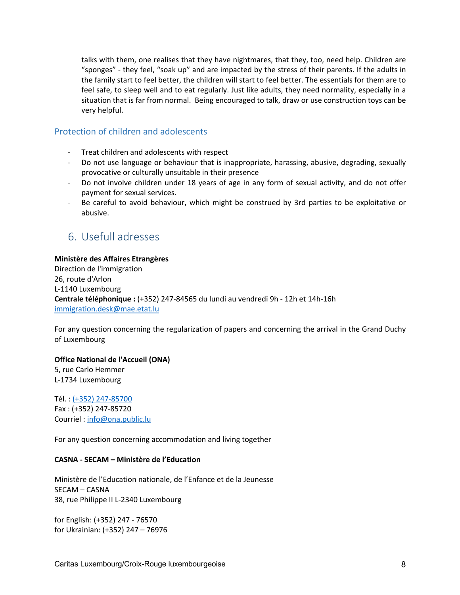talks with them, one realises that they have nightmares, that they, too, need help. Children are "sponges" - they feel, "soak up" and are impacted by the stress of their parents. If the adults in the family start to feel better, the children will start to feel better. The essentials for them are to feel safe, to sleep well and to eat regularly. Just like adults, they need normality, especially in a situation that is far from normal. Being encouraged to talk, draw or use construction toys can be very helpful.

### Protection of children and adolescents

- Treat children and adolescents with respect
- Do not use language or behaviour that is inappropriate, harassing, abusive, degrading, sexually provocative or culturally unsuitable in their presence
- Do not involve children under 18 years of age in any form of sexual activity, and do not offer payment for sexual services.
- Be careful to avoid behaviour, which might be construed by 3rd parties to be exploitative or abusive.

### 6. Usefull adresses

### **Ministère des Affaires Etrangères**

Direction de l'immigration 26, route d'Arlon L-1140 Luxembourg **Centrale téléphonique :** (+352) 247-84565 du lundi au vendredi 9h - 12h et 14h-16h immigration.desk@mae.etat.lu

For any question concerning the regularization of papers and concerning the arrival in the Grand Duchy of Luxembourg

**Office National de l'Accueil (ONA)**

5, rue Carlo Hemmer L-1734 Luxembourg

Tél. : (+352) 247-85700 Fax : (+352) 247-85720 Courriel : info@ona.public.lu

For any question concerning accommodation and living together

### **CASNA - SECAM – Ministère de l'Education**

Ministère de l'Education nationale, de l'Enfance et de la Jeunesse SECAM – CASNA 38, rue Philippe II L-2340 Luxembourg

for English: (+352) 247 - 76570 for Ukrainian: (+352) 247 – 76976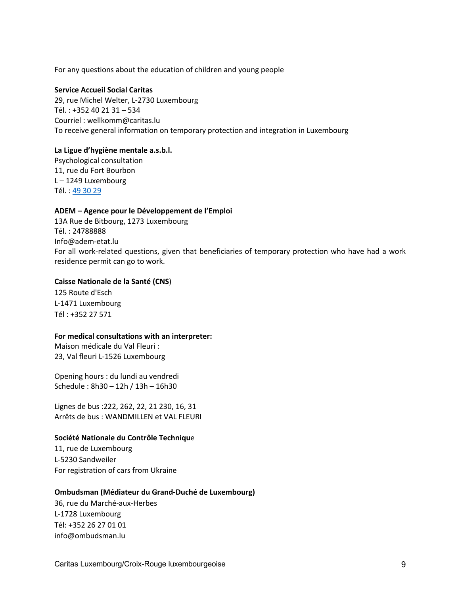For any questions about the education of children and young people

#### **Service Accueil Social Caritas**

29, rue Michel Welter, L-2730 Luxembourg Tél. : +352 40 21 31 – 534 Courriel : wellkomm@caritas.lu To receive general information on temporary protection and integration in Luxembourg

### **La Ligue d'hygiène mentale a.s.b.l.**

Psychological consultation 11, rue du Fort Bourbon L – 1249 Luxembourg Tél. : 49 30 29

### **ADEM – Agence pour le Développement de l'Emploi**

13A Rue de Bitbourg, 1273 Luxembourg Tél. : 24788888 Info@adem-etat.lu For all work-related questions, given that beneficiaries of temporary protection who have had a work residence permit can go to work.

### **Caisse Nationale de la Santé (CNS**)

125 Route d'Esch L-1471 Luxembourg Tél : +352 27 571

#### **For medical consultations with an interpreter:**

Maison médicale du Val Fleuri : 23, Val fleuri L-1526 Luxembourg

Opening hours : du lundi au vendredi Schedule : 8h30 – 12h / 13h – 16h30

Lignes de bus :222, 262, 22, 21 230, 16, 31 Arrêts de bus : WANDMILLEN et VAL FLEURI

### **Société Nationale du Contrôle Techniqu**e

11, rue de Luxembourg L-5230 Sandweiler For registration of cars from Ukraine

### **Ombudsman (Médiateur du Grand-Duché de Luxembourg)**

36, rue du Marché-aux-Herbes L-1728 Luxembourg Tél: +352 26 27 01 01 info@ombudsman.lu